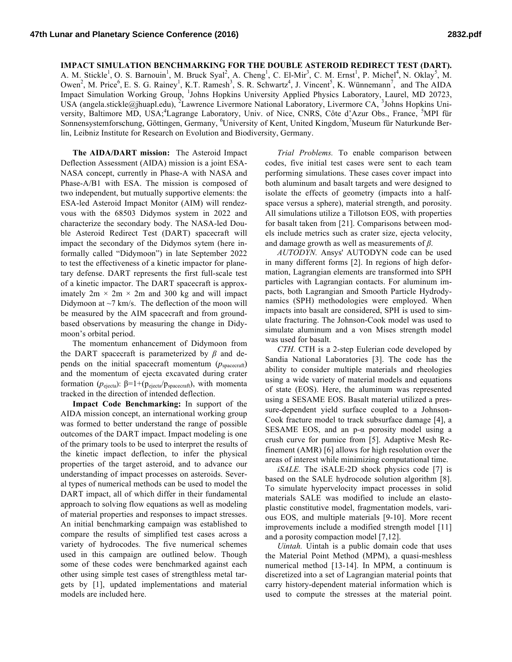## **IMPACT SIMULATION BENCHMARKING FOR THE DOUBLE ASTEROID REDIRECT TEST (DART).**

A. M. Stickle<sup>1</sup>, O. S. Barnouin<sup>1</sup>, M. Bruck Syal<sup>2</sup>, A. Cheng<sup>1</sup>, C. El-Mir<sup>3</sup>, C. M. Ernst<sup>1</sup>, P. Michel<sup>4</sup>, N. Oklay<sup>5</sup>, M. Owen<sup>2</sup>, M. Price<sup>6</sup>, E. S. G. Rainey<sup>1</sup>, K.T. Ramesh<sup>3</sup>, S. R. Schwartz<sup>4</sup>, J. Vincent<sup>5</sup>, K. Wünnemann<sup>7</sup>, and The AIDA Impact Simulation Working Group, <sup>1</sup>Johns Hopkins University Applied Physics Laboratory, Laurel, MD 20723, USA (angela.stickle@jhuapl.edu), <sup>2</sup>Lawrence Livermore National Laboratory, Livermore CA, <sup>3</sup>Johns Hopkins University, Baltimore MD, USA;<sup>4</sup>Lagrange Laboratory, Univ. of Nice, CNRS, Côte d'Azur Obs., France, <sup>5</sup>MPI für Sonnensystemforschung, Göttingen, Germany, <sup>6</sup>University of Kent, United Kingdom, Museum für Naturkunde Berlin, Leibniz Institute for Research on Evolution and Biodiversity, Germany.

**The AIDA/DART mission:** The Asteroid Impact Deflection Assessment (AIDA) mission is a joint ESA-NASA concept, currently in Phase-A with NASA and Phase-A/B1 with ESA. The mission is composed of two independent, but mutually supportive elements: the ESA-led Asteroid Impact Monitor (AIM) will rendezvous with the 68503 Didymos system in 2022 and characterize the secondary body. The NASA-led Double Asteroid Redirect Test (DART) spacecraft will impact the secondary of the Didymos sytem (here informally called "Didymoon") in late September 2022 to test the effectiveness of a kinetic impactor for planetary defense. DART represents the first full-scale test of a kinetic impactor. The DART spacecraft is approximately  $2m \times 2m \times 2m$  and 300 kg and will impact Didymoon at  $\sim$ 7 km/s. The deflection of the moon will be measured by the AIM spacecraft and from groundbased observations by measuring the change in Didymoon's orbital period.

The momentum enhancement of Didymoon from the DART spacecraft is parameterized by *β* and depends on the initial spacecraft momentum  $(p_{\text{spacecraft}})$ and the momentum of ejecta excavated during crater formation ( $p_{\text{ejecta}}$ ): β=1+( $p_{\text{ejecta}}/p_{\text{spacecraft}}$ ), with momenta tracked in the direction of intended deflection.

**Impact Code Benchmarking:** In support of the AIDA mission concept, an international working group was formed to better understand the range of possible outcomes of the DART impact. Impact modeling is one of the primary tools to be used to interpret the results of the kinetic impact deflection, to infer the physical properties of the target asteroid, and to advance our understanding of impact processes on asteroids. Several types of numerical methods can be used to model the DART impact, all of which differ in their fundamental approach to solving flow equations as well as modeling of material properties and responses to impact stresses. An initial benchmarking campaign was established to compare the results of simplified test cases across a variety of hydrocodes. The five numerical schemes used in this campaign are outlined below. Though some of these codes were benchmarked against each other using simple test cases of strengthless metal targets by [1], updated implementations and material models are included here.

*Trial Problems.* To enable comparison between codes, five initial test cases were sent to each team performing simulations. These cases cover impact into both aluminum and basalt targets and were designed to isolate the effects of geometry (impacts into a halfspace versus a sphere), material strength, and porosity. All simulations utilize a Tillotson EOS, with properties for basalt taken from [21]. Comparisons between models include metrics such as crater size, ejecta velocity, and damage growth as well as measurements of *β*.

*AUTODYN.* Ansys' AUTODYN code can be used in many different forms [2]. In regions of high deformation, Lagrangian elements are transformed into SPH particles with Lagrangian contacts. For aluminum impacts, both Lagrangian and Smooth Particle Hydrodynamics (SPH) methodologies were employed. When impacts into basalt are considered, SPH is used to simulate fracturing. The Johnson-Cook model was used to simulate aluminum and a von Mises strength model was used for basalt.

*CTH.* CTH is a 2-step Eulerian code developed by Sandia National Laboratories [3]. The code has the ability to consider multiple materials and rheologies using a wide variety of material models and equations of state (EOS). Here, the aluminum was represented using a SESAME EOS. Basalt material utilized a pressure-dependent yield surface coupled to a Johnson-Cook fracture model to track subsurface damage [4], a SESAME EOS, and an  $p-\alpha$  porosity model using a crush curve for pumice from [5]. Adaptive Mesh Refinement (AMR) [6] allows for high resolution over the areas of interest while minimizing computational time.

*iSALE.* The iSALE-2D shock physics code [7] is based on the SALE hydrocode solution algorithm [8]. To simulate hypervelocity impact processes in solid materials SALE was modified to include an elastoplastic constitutive model, fragmentation models, various EOS, and multiple materials [9-10]. More recent improvements include a modified strength model [11] and a porosity compaction model [7,12].

*Uintah.* Uintah is a public domain code that uses the Material Point Method (MPM), a quasi-meshless numerical method [13-14]. In MPM, a continuum is discretized into a set of Lagrangian material points that carry history-dependent material information which is used to compute the stresses at the material point.